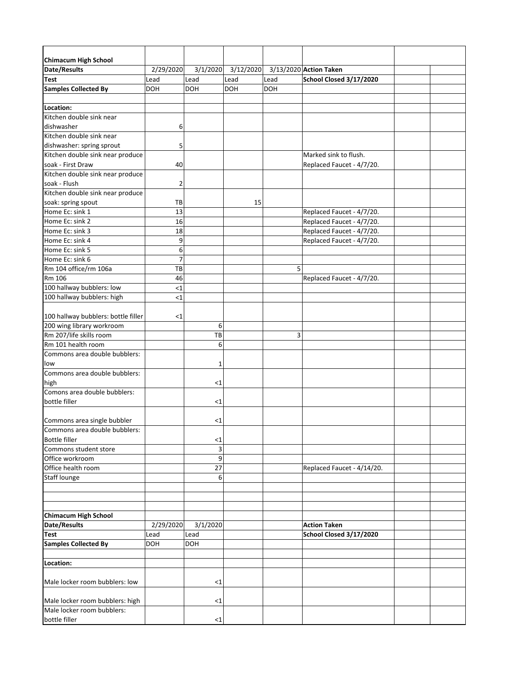| <b>Chimacum High School</b>         |                |            |            |      |                            |  |
|-------------------------------------|----------------|------------|------------|------|----------------------------|--|
| <b>Date/Results</b>                 | 2/29/2020      | 3/1/2020   | 3/12/2020  |      | 3/13/2020 Action Taken     |  |
| <b>Test</b>                         | Lead           | Lead       | Lead       | Lead | School Closed 3/17/2020    |  |
| <b>Samples Collected By</b>         | <b>DOH</b>     | <b>DOH</b> | <b>DOH</b> | DOH  |                            |  |
| Location:                           |                |            |            |      |                            |  |
| Kitchen double sink near            |                |            |            |      |                            |  |
| dishwasher                          | 6              |            |            |      |                            |  |
| Kitchen double sink near            |                |            |            |      |                            |  |
| dishwasher: spring sprout           | 5              |            |            |      |                            |  |
| Kitchen double sink near produce    |                |            |            |      | Marked sink to flush.      |  |
| soak - First Draw                   | 40             |            |            |      | Replaced Faucet - 4/7/20.  |  |
| Kitchen double sink near produce    |                |            |            |      |                            |  |
| soak - Flush                        | $\overline{2}$ |            |            |      |                            |  |
| Kitchen double sink near produce    |                |            |            |      |                            |  |
| soak: spring spout                  | TB             |            | 15         |      |                            |  |
| Home Ec: sink 1                     | 13             |            |            |      | Replaced Faucet - 4/7/20.  |  |
| Home Ec: sink 2                     | 16             |            |            |      | Replaced Faucet - 4/7/20.  |  |
| Home Ec: sink 3                     | 18             |            |            |      | Replaced Faucet - 4/7/20.  |  |
| Home Ec: sink 4                     | 9              |            |            |      | Replaced Faucet - 4/7/20.  |  |
| Home Ec: sink 5                     | 6              |            |            |      |                            |  |
| Home Ec: sink 6                     | 7              |            |            |      |                            |  |
| Rm 104 office/rm 106a               | TB             |            |            | 5    |                            |  |
| Rm 106                              | 46             |            |            |      | Replaced Faucet - 4/7/20.  |  |
| 100 hallway bubblers: low           | $<$ 1          |            |            |      |                            |  |
| 100 hallway bubblers: high          | $<$ 1          |            |            |      |                            |  |
| 100 hallway bubblers: bottle filler | $<$ 1          |            |            |      |                            |  |
| 200 wing library workroom           |                | 6          |            |      |                            |  |
| Rm 207/life skills room             |                | TB         |            | 3    |                            |  |
| Rm 101 health room                  |                | 6          |            |      |                            |  |
| Commons area double bubblers:       |                |            |            |      |                            |  |
| low                                 |                | 1          |            |      |                            |  |
| Commons area double bubblers:       |                |            |            |      |                            |  |
| high                                |                | $<$ 1      |            |      |                            |  |
| Comons area double bubblers:        |                |            |            |      |                            |  |
| bottle filler                       |                | $<$ 1      |            |      |                            |  |
| Commons area single bubbler         |                | $<$ 1      |            |      |                            |  |
| Commons area double bubblers:       |                |            |            |      |                            |  |
| <b>Bottle filler</b>                |                | $\leq$ 1   |            |      |                            |  |
| Commons student store               |                | 3          |            |      |                            |  |
| Office workroom                     |                | 9          |            |      |                            |  |
| Office health room                  |                | 27         |            |      | Replaced Faucet - 4/14/20. |  |
| <b>Staff lounge</b>                 |                | 6          |            |      |                            |  |
|                                     |                |            |            |      |                            |  |
|                                     |                |            |            |      |                            |  |
| <b>Chimacum High School</b>         |                |            |            |      |                            |  |
| <b>Date/Results</b>                 | 2/29/2020      | 3/1/2020   |            |      | <b>Action Taken</b>        |  |
| <b>Test</b>                         | Lead           | Lead       |            |      | School Closed 3/17/2020    |  |
| <b>Samples Collected By</b>         | <b>DOH</b>     | <b>DOH</b> |            |      |                            |  |
|                                     |                |            |            |      |                            |  |
| Location:                           |                |            |            |      |                            |  |
| Male locker room bubblers: low      |                | $<$ 1      |            |      |                            |  |
| Male locker room bubblers: high     |                | $<$ 1      |            |      |                            |  |
| Male locker room bubblers:          |                |            |            |      |                            |  |
| bottle filler                       |                | $<$ 1      |            |      |                            |  |